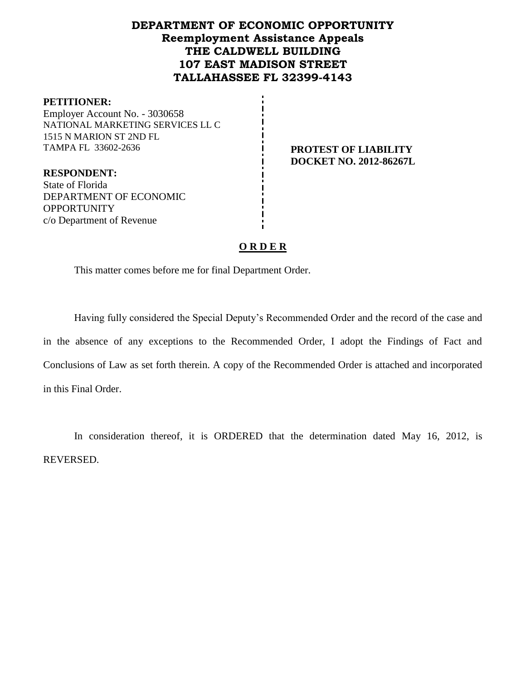# **DEPARTMENT OF ECONOMIC OPPORTUNITY Reemployment Assistance Appeals THE CALDWELL BUILDING 107 EAST MADISON STREET TALLAHASSEE FL 32399-4143**

#### **PETITIONER:**

Employer Account No. - 3030658 NATIONAL MARKETING SERVICES LL C 1515 N MARION ST 2ND FL TAMPA FL 33602-2636 **PROTEST OF LIABILITY** 

**DOCKET NO. 2012-86267L**

**RESPONDENT:** State of Florida DEPARTMENT OF ECONOMIC **OPPORTUNITY** c/o Department of Revenue

### **O R D E R**

This matter comes before me for final Department Order.

Having fully considered the Special Deputy's Recommended Order and the record of the case and in the absence of any exceptions to the Recommended Order, I adopt the Findings of Fact and Conclusions of Law as set forth therein. A copy of the Recommended Order is attached and incorporated in this Final Order.

In consideration thereof, it is ORDERED that the determination dated May 16, 2012, is REVERSED.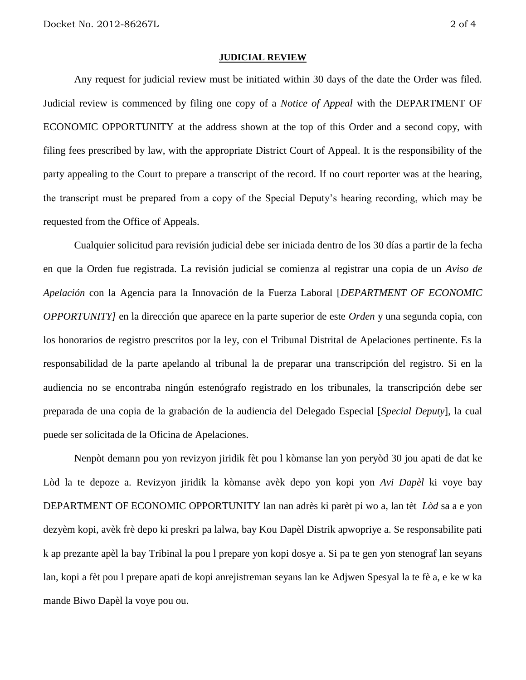#### **JUDICIAL REVIEW**

Any request for judicial review must be initiated within 30 days of the date the Order was filed. Judicial review is commenced by filing one copy of a *Notice of Appeal* with the DEPARTMENT OF ECONOMIC OPPORTUNITY at the address shown at the top of this Order and a second copy, with filing fees prescribed by law, with the appropriate District Court of Appeal. It is the responsibility of the party appealing to the Court to prepare a transcript of the record. If no court reporter was at the hearing, the transcript must be prepared from a copy of the Special Deputy's hearing recording, which may be requested from the Office of Appeals.

Cualquier solicitud para revisión judicial debe ser iniciada dentro de los 30 días a partir de la fecha en que la Orden fue registrada. La revisión judicial se comienza al registrar una copia de un *Aviso de Apelación* con la Agencia para la Innovación de la Fuerza Laboral [*DEPARTMENT OF ECONOMIC OPPORTUNITY]* en la dirección que aparece en la parte superior de este *Orden* y una segunda copia, con los honorarios de registro prescritos por la ley, con el Tribunal Distrital de Apelaciones pertinente. Es la responsabilidad de la parte apelando al tribunal la de preparar una transcripción del registro. Si en la audiencia no se encontraba ningún estenógrafo registrado en los tribunales, la transcripción debe ser preparada de una copia de la grabación de la audiencia del Delegado Especial [*Special Deputy*], la cual puede ser solicitada de la Oficina de Apelaciones.

Nenpòt demann pou yon revizyon jiridik fèt pou l kòmanse lan yon peryòd 30 jou apati de dat ke Lòd la te depoze a. Revizyon jiridik la kòmanse avèk depo yon kopi yon *Avi Dapèl* ki voye bay DEPARTMENT OF ECONOMIC OPPORTUNITY lan nan adrès ki parèt pi wo a, lan tèt *Lòd* sa a e yon dezyèm kopi, avèk frè depo ki preskri pa lalwa, bay Kou Dapèl Distrik apwopriye a. Se responsabilite pati k ap prezante apèl la bay Tribinal la pou l prepare yon kopi dosye a. Si pa te gen yon stenograf lan seyans lan, kopi a fèt pou l prepare apati de kopi anrejistreman seyans lan ke Adjwen Spesyal la te fè a, e ke w ka mande Biwo Dapèl la voye pou ou.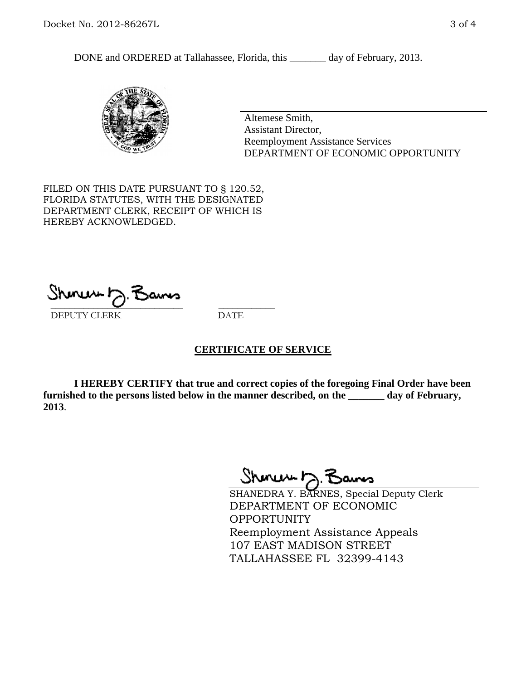DONE and ORDERED at Tallahassee, Florida, this \_\_\_\_\_\_\_ day of February, 2013.



Altemese Smith, Assistant Director, Reemployment Assistance Services DEPARTMENT OF ECONOMIC OPPORTUNITY

FILED ON THIS DATE PURSUANT TO § 120.52, FLORIDA STATUTES, WITH THE DESIGNATED DEPARTMENT CLERK, RECEIPT OF WHICH IS HEREBY ACKNOWLEDGED.

 $\overline{\phantom{a}}$  ,  $\overline{\phantom{a}}$  ,  $\overline{\phantom{a}}$  ,  $\overline{\phantom{a}}$  ,  $\overline{\phantom{a}}$  ,  $\overline{\phantom{a}}$  ,  $\overline{\phantom{a}}$  ,  $\overline{\phantom{a}}$ DEPUTY CLERK DATE

#### **CERTIFICATE OF SERVICE**

**I HEREBY CERTIFY that true and correct copies of the foregoing Final Order have been furnished to the persons listed below in the manner described, on the \_\_\_\_\_\_\_ day of February, 2013**.

Shoner D. Bans

SHANEDRA Y. BARNES, Special Deputy Clerk DEPARTMENT OF ECONOMIC OPPORTUNITY Reemployment Assistance Appeals 107 EAST MADISON STREET TALLAHASSEE FL 32399-4143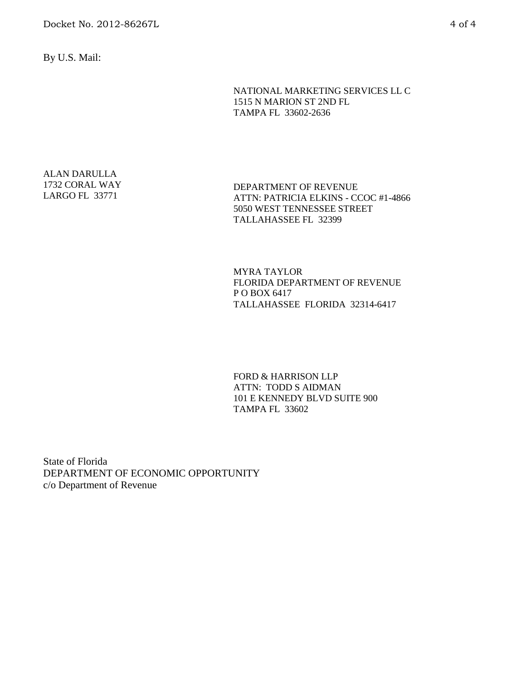By U.S. Mail:

NATIONAL MARKETING SERVICES LL C 1515 N MARION ST 2ND FL TAMPA FL 33602-2636

ALAN DARULLA 1732 CORAL WAY LARGO FL 33771

DEPARTMENT OF REVENUE ATTN: PATRICIA ELKINS - CCOC #1-4866 5050 WEST TENNESSEE STREET TALLAHASSEE FL 32399

MYRA TAYLOR FLORIDA DEPARTMENT OF REVENUE P O BOX 6417 TALLAHASSEE FLORIDA 32314-6417

FORD & HARRISON LLP ATTN: TODD S AIDMAN 101 E KENNEDY BLVD SUITE 900 TAMPA FL 33602

State of Florida DEPARTMENT OF ECONOMIC OPPORTUNITY c/o Department of Revenue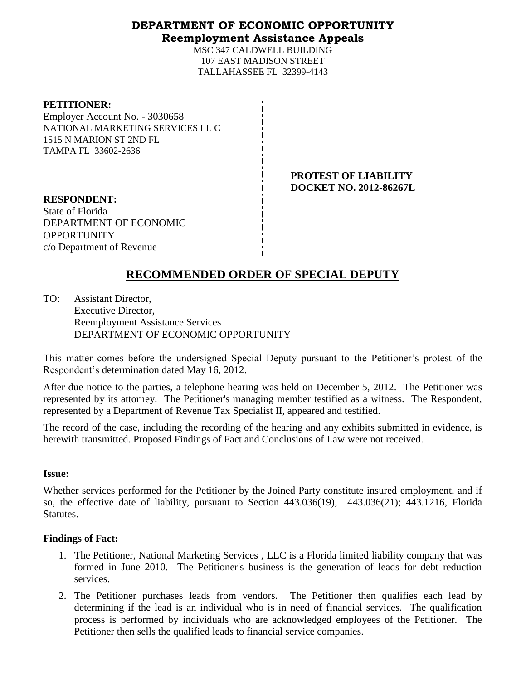### **DEPARTMENT OF ECONOMIC OPPORTUNITY Reemployment Assistance Appeals**

MSC 347 CALDWELL BUILDING 107 EAST MADISON STREET TALLAHASSEE FL 32399-4143

| <b>PETITIONER:</b>               |
|----------------------------------|
| Employer Account No. - 3030658   |
| NATIONAL MARKETING SERVICES LL C |
| 1515 N MARION ST 2ND FL          |
| TAMPA FL 33602-2636              |

**PROTEST OF LIABILITY DOCKET NO. 2012-86267L**

**RESPONDENT:** State of Florida DEPARTMENT OF ECONOMIC OPPORTUNITY c/o Department of Revenue

# **RECOMMENDED ORDER OF SPECIAL DEPUTY**

TO: Assistant Director, Executive Director, Reemployment Assistance Services DEPARTMENT OF ECONOMIC OPPORTUNITY

This matter comes before the undersigned Special Deputy pursuant to the Petitioner's protest of the Respondent's determination dated May 16, 2012.

After due notice to the parties, a telephone hearing was held on December 5, 2012. The Petitioner was represented by its attorney. The Petitioner's managing member testified as a witness. The Respondent, represented by a Department of Revenue Tax Specialist II, appeared and testified.

The record of the case, including the recording of the hearing and any exhibits submitted in evidence, is herewith transmitted. Proposed Findings of Fact and Conclusions of Law were not received.

### **Issue:**

Whether services performed for the Petitioner by the Joined Party constitute insured employment, and if so, the effective date of liability, pursuant to Section 443.036(19), 443.036(21); 443.1216, Florida Statutes.

### **Findings of Fact:**

- 1. The Petitioner, National Marketing Services , LLC is a Florida limited liability company that was formed in June 2010. The Petitioner's business is the generation of leads for debt reduction services.
- 2. The Petitioner purchases leads from vendors. The Petitioner then qualifies each lead by determining if the lead is an individual who is in need of financial services. The qualification process is performed by individuals who are acknowledged employees of the Petitioner. The Petitioner then sells the qualified leads to financial service companies.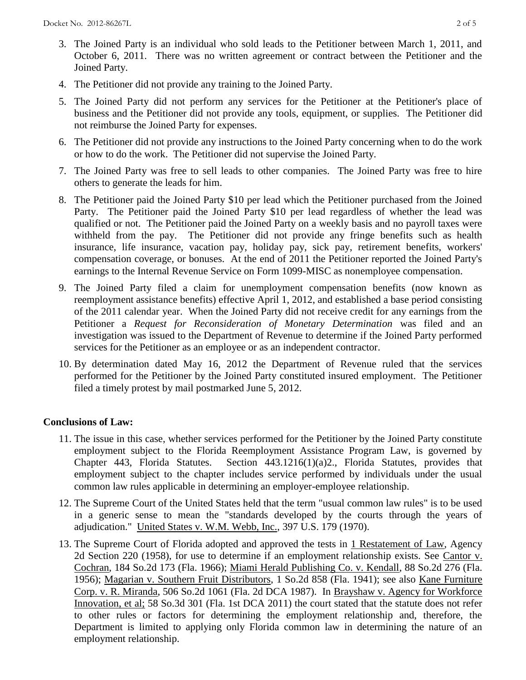- 3. The Joined Party is an individual who sold leads to the Petitioner between March 1, 2011, and October 6, 2011. There was no written agreement or contract between the Petitioner and the Joined Party.
- 4. The Petitioner did not provide any training to the Joined Party.
- 5. The Joined Party did not perform any services for the Petitioner at the Petitioner's place of business and the Petitioner did not provide any tools, equipment, or supplies. The Petitioner did not reimburse the Joined Party for expenses.
- 6. The Petitioner did not provide any instructions to the Joined Party concerning when to do the work or how to do the work. The Petitioner did not supervise the Joined Party.
- 7. The Joined Party was free to sell leads to other companies. The Joined Party was free to hire others to generate the leads for him.
- 8. The Petitioner paid the Joined Party \$10 per lead which the Petitioner purchased from the Joined Party. The Petitioner paid the Joined Party \$10 per lead regardless of whether the lead was qualified or not. The Petitioner paid the Joined Party on a weekly basis and no payroll taxes were withheld from the pay. The Petitioner did not provide any fringe benefits such as health insurance, life insurance, vacation pay, holiday pay, sick pay, retirement benefits, workers' compensation coverage, or bonuses. At the end of 2011 the Petitioner reported the Joined Party's earnings to the Internal Revenue Service on Form 1099-MISC as nonemployee compensation.
- 9. The Joined Party filed a claim for unemployment compensation benefits (now known as reemployment assistance benefits) effective April 1, 2012, and established a base period consisting of the 2011 calendar year. When the Joined Party did not receive credit for any earnings from the Petitioner a *Request for Reconsideration of Monetary Determination* was filed and an investigation was issued to the Department of Revenue to determine if the Joined Party performed services for the Petitioner as an employee or as an independent contractor.
- 10. By determination dated May 16, 2012 the Department of Revenue ruled that the services performed for the Petitioner by the Joined Party constituted insured employment. The Petitioner filed a timely protest by mail postmarked June 5, 2012.

## **Conclusions of Law:**

- 11. The issue in this case, whether services performed for the Petitioner by the Joined Party constitute employment subject to the Florida Reemployment Assistance Program Law, is governed by Chapter 443, Florida Statutes. Section 443.1216(1)(a)2., Florida Statutes, provides that employment subject to the chapter includes service performed by individuals under the usual common law rules applicable in determining an employer-employee relationship.
- 12. The Supreme Court of the United States held that the term "usual common law rules" is to be used in a generic sense to mean the "standards developed by the courts through the years of adjudication." United States v. W.M. Webb, Inc., 397 U.S. 179 (1970).
- 13. The Supreme Court of Florida adopted and approved the tests in 1 Restatement of Law, Agency 2d Section 220 (1958), for use to determine if an employment relationship exists. See Cantor v. Cochran, 184 So.2d 173 (Fla. 1966); Miami Herald Publishing Co. v. Kendall, 88 So.2d 276 (Fla. 1956); Magarian v. Southern Fruit Distributors, 1 So.2d 858 (Fla. 1941); see also Kane Furniture Corp. v. R. Miranda, 506 So.2d 1061 (Fla. 2d DCA 1987). In Brayshaw v. Agency for Workforce Innovation, et al; 58 So.3d 301 (Fla. 1st DCA 2011) the court stated that the statute does not refer to other rules or factors for determining the employment relationship and, therefore, the Department is limited to applying only Florida common law in determining the nature of an employment relationship.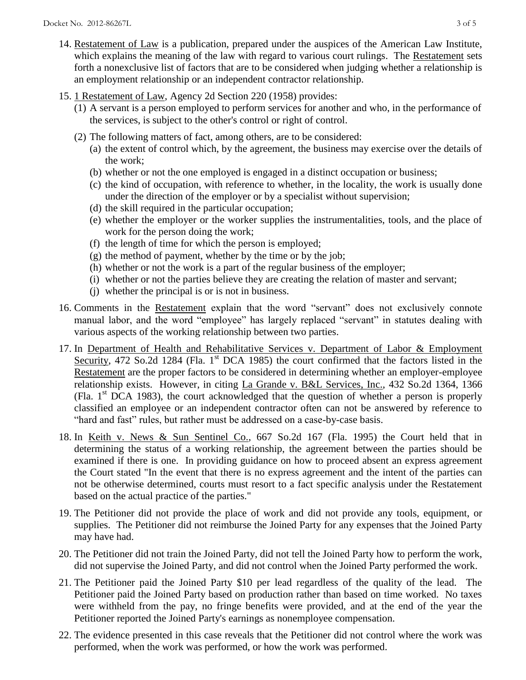- 14. Restatement of Law is a publication, prepared under the auspices of the American Law Institute, which explains the meaning of the law with regard to various court rulings. The Restatement sets forth a nonexclusive list of factors that are to be considered when judging whether a relationship is an employment relationship or an independent contractor relationship.
- 15. 1 Restatement of Law, Agency 2d Section 220 (1958) provides:
	- (1) A servant is a person employed to perform services for another and who, in the performance of the services, is subject to the other's control or right of control.
	- (2) The following matters of fact, among others, are to be considered:
		- (a) the extent of control which, by the agreement, the business may exercise over the details of the work;
		- (b) whether or not the one employed is engaged in a distinct occupation or business;
		- (c) the kind of occupation, with reference to whether, in the locality, the work is usually done under the direction of the employer or by a specialist without supervision;
		- (d) the skill required in the particular occupation;
		- (e) whether the employer or the worker supplies the instrumentalities, tools, and the place of work for the person doing the work;
		- (f) the length of time for which the person is employed;
		- (g) the method of payment, whether by the time or by the job;
		- (h) whether or not the work is a part of the regular business of the employer;
		- (i) whether or not the parties believe they are creating the relation of master and servant;
		- (j) whether the principal is or is not in business.
- 16. Comments in the Restatement explain that the word "servant" does not exclusively connote manual labor, and the word "employee" has largely replaced "servant" in statutes dealing with various aspects of the working relationship between two parties.
- 17. In Department of Health and Rehabilitative Services v. Department of Labor & Employment Security, 472 So.2d 1284 (Fla. 1<sup>st</sup> DCA 1985) the court confirmed that the factors listed in the Restatement are the proper factors to be considered in determining whether an employer-employee relationship exists. However, in citing La Grande v. B&L Services, Inc., 432 So.2d 1364, 1366 (Fla.  $1<sup>st</sup> DCA$  1983), the court acknowledged that the question of whether a person is properly classified an employee or an independent contractor often can not be answered by reference to "hard and fast" rules, but rather must be addressed on a case-by-case basis.
- 18. In Keith v. News & Sun Sentinel Co., 667 So.2d 167 (Fla. 1995) the Court held that in determining the status of a working relationship, the agreement between the parties should be examined if there is one. In providing guidance on how to proceed absent an express agreement the Court stated "In the event that there is no express agreement and the intent of the parties can not be otherwise determined, courts must resort to a fact specific analysis under the Restatement based on the actual practice of the parties."
- 19. The Petitioner did not provide the place of work and did not provide any tools, equipment, or supplies. The Petitioner did not reimburse the Joined Party for any expenses that the Joined Party may have had.
- 20. The Petitioner did not train the Joined Party, did not tell the Joined Party how to perform the work, did not supervise the Joined Party, and did not control when the Joined Party performed the work.
- 21. The Petitioner paid the Joined Party \$10 per lead regardless of the quality of the lead. The Petitioner paid the Joined Party based on production rather than based on time worked. No taxes were withheld from the pay, no fringe benefits were provided, and at the end of the year the Petitioner reported the Joined Party's earnings as nonemployee compensation.
- 22. The evidence presented in this case reveals that the Petitioner did not control where the work was performed, when the work was performed, or how the work was performed.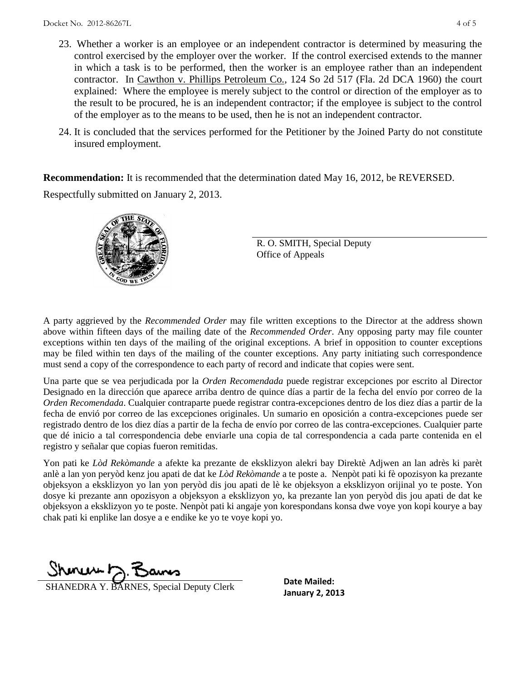- 23. Whether a worker is an employee or an independent contractor is determined by measuring the control exercised by the employer over the worker. If the control exercised extends to the manner in which a task is to be performed, then the worker is an employee rather than an independent contractor. In Cawthon v. Phillips Petroleum Co., 124 So 2d 517 (Fla. 2d DCA 1960) the court explained: Where the employee is merely subject to the control or direction of the employer as to the result to be procured, he is an independent contractor; if the employee is subject to the control of the employer as to the means to be used, then he is not an independent contractor.
- 24. It is concluded that the services performed for the Petitioner by the Joined Party do not constitute insured employment.

**Recommendation:** It is recommended that the determination dated May 16, 2012, be REVERSED.

Respectfully submitted on January 2, 2013.



R. O. SMITH, Special Deputy Office of Appeals

A party aggrieved by the *Recommended Order* may file written exceptions to the Director at the address shown above within fifteen days of the mailing date of the *Recommended Order*. Any opposing party may file counter exceptions within ten days of the mailing of the original exceptions. A brief in opposition to counter exceptions may be filed within ten days of the mailing of the counter exceptions. Any party initiating such correspondence must send a copy of the correspondence to each party of record and indicate that copies were sent.

Una parte que se vea perjudicada por la *Orden Recomendada* puede registrar excepciones por escrito al Director Designado en la dirección que aparece arriba dentro de quince días a partir de la fecha del envío por correo de la *Orden Recomendada*. Cualquier contraparte puede registrar contra-excepciones dentro de los diez días a partir de la fecha de envió por correo de las excepciones originales. Un sumario en oposición a contra-excepciones puede ser registrado dentro de los diez días a partir de la fecha de envío por correo de las contra-excepciones. Cualquier parte que dé inicio a tal correspondencia debe enviarle una copia de tal correspondencia a cada parte contenida en el registro y señalar que copias fueron remitidas.

Yon pati ke *Lòd Rekòmande* a afekte ka prezante de eksklizyon alekri bay Direktè Adjwen an lan adrès ki parèt anlè a lan yon peryòd kenz jou apati de dat ke *Lòd Rekòmande* a te poste a. Nenpòt pati ki fè opozisyon ka prezante objeksyon a eksklizyon yo lan yon peryòd dis jou apati de lè ke objeksyon a eksklizyon orijinal yo te poste. Yon dosye ki prezante ann opozisyon a objeksyon a eksklizyon yo, ka prezante lan yon peryòd dis jou apati de dat ke objeksyon a eksklizyon yo te poste. Nenpòt pati ki angaje yon korespondans konsa dwe voye yon kopi kourye a bay chak pati ki enplike lan dosye a e endike ke yo te voye kopi yo.

Shonen J. Bans

**January 2, 2013**<br>**January 2, 2013** 

**Date Mailed:**